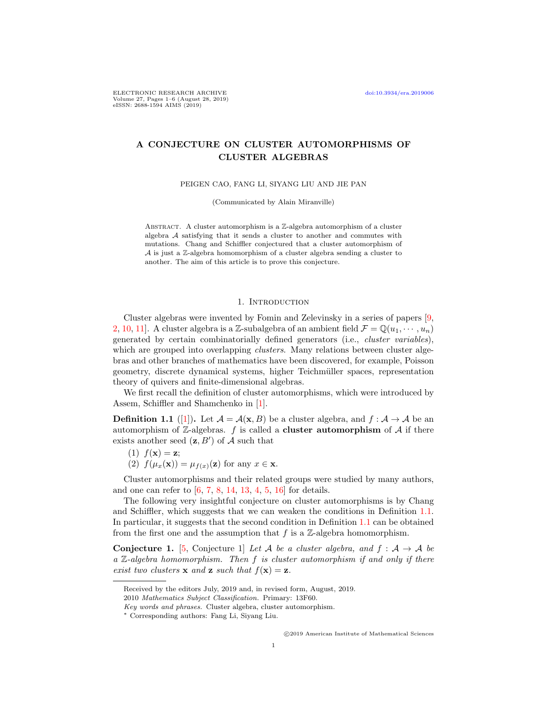ELECTRONIC RESEARCH ARCHIVE [doi:10.3934/era.2019006](http://dx.doi.org/10.3934/era.2019006) Volume 27, Pages 1–6 (August 28, 2019) eISSN: 2688-1594 AIMS (2019)

# A CONJECTURE ON CLUSTER AUTOMORPHISMS OF CLUSTER ALGEBRAS

PEIGEN CAO, FANG LI, SIYANG LIU AND JIE PAN

(Communicated by Alain Miranville)

ABSTRACT. A cluster automorphism is a Z-algebra automorphism of a cluster algebra A satisfying that it sends a cluster to another and commutes with mutations. Chang and Schiffler conjectured that a cluster automorphism of A is just a Z-algebra homomorphism of a cluster algebra sending a cluster to another. The aim of this article is to prove this conjecture.

#### 1. INTRODUCTION

Cluster algebras were invented by Fomin and Zelevinsky in a series of papers [\[9,](#page-5-0) [2,](#page-5-1) [10,](#page-5-2) [11\]](#page-5-3). A cluster algebra is a Z-subalgebra of an ambient field  $\mathcal{F} = \mathbb{Q}(u_1, \dots, u_n)$ generated by certain combinatorially defined generators (i.e., cluster variables), which are grouped into overlapping *clusters*. Many relations between cluster algebras and other branches of mathematics have been discovered, for example, Poisson geometry, discrete dynamical systems, higher Teichm¨uller spaces, representation theory of quivers and finite-dimensional algebras.

We first recall the definition of cluster automorphisms, which were introduced by Assem, Schiffler and Shamchenko in [\[1\]](#page-5-4).

<span id="page-0-0"></span>**Definition 1.1** ([\[1\]](#page-5-4)). Let  $\mathcal{A} = \mathcal{A}(\mathbf{x}, B)$  be a cluster algebra, and  $f : \mathcal{A} \to \mathcal{A}$  be an automorphism of  $\mathbb{Z}$ -algebras. f is called a **cluster automorphism** of A if there exists another seed  $(\mathbf{z}, B')$  of A such that

- (1)  $f(\mathbf{x}) = \mathbf{z}$ ;
- (2)  $f(\mu_x(\mathbf{x})) = \mu_{f(x)}(\mathbf{z})$  for any  $x \in \mathbf{x}$ .

Cluster automorphisms and their related groups were studied by many authors, and one can refer to [\[6,](#page-5-5) [7,](#page-5-6) [8,](#page-5-7) [14,](#page-5-8) [13,](#page-5-9) [4,](#page-5-10) [5,](#page-5-11) [16\]](#page-5-12) for details.

The following very insightful conjecture on cluster automorphisms is by Chang and Schiffler, which suggests that we can weaken the conditions in Definition [1.1.](#page-0-0) In particular, it suggests that the second condition in Definition [1.1](#page-0-0) can be obtained from the first one and the assumption that f is a  $\mathbb{Z}-$ -algebra homomorphism.

<span id="page-0-1"></span>**Conjecture 1.** [\[5,](#page-5-11) Conjecture 1] Let A be a cluster algebra, and  $f : A \rightarrow A$  be a  $\mathbb{Z}$ -algebra homomorphism. Then f is cluster automorphism if and only if there exist two clusters **x** and **z** such that  $f(\mathbf{x}) = \mathbf{z}$ .

Received by the editors July, 2019 and, in revised form, August, 2019.

<sup>2010</sup> Mathematics Subject Classification. Primary: 13F60.

Key words and phrases. Cluster algebra, cluster automorphism.

<sup>∗</sup> Corresponding authors: Fang Li, Siyang Liu.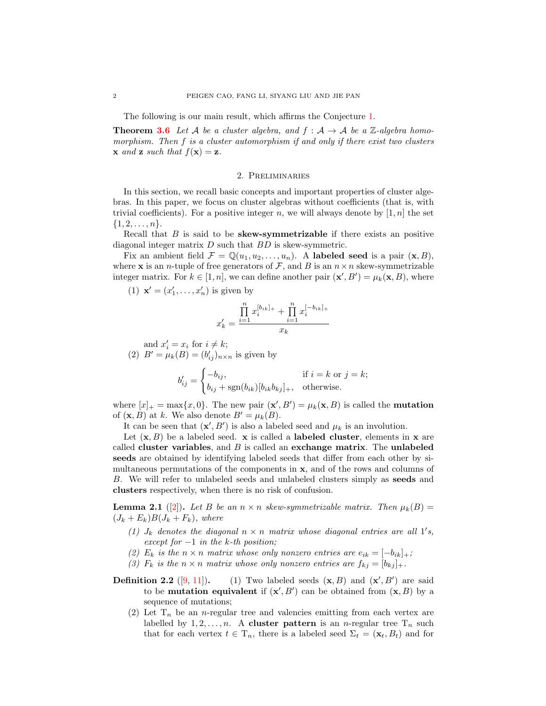The following is our main result, which affirms the Conjecture [1.](#page-0-1)

**Theorem [3.6](#page-4-0)** Let A be a cluster algebra, and  $f : A \rightarrow A$  be a Z-algebra homomorphism. Then f is a cluster automorphism if and only if there exist two clusters  $\mathbf x$  and  $\mathbf z$  such that  $f(\mathbf x) = \mathbf z$ .

#### 2. Preliminaries

In this section, we recall basic concepts and important properties of cluster algebras. In this paper, we focus on cluster algebras without coefficients (that is, with trivial coefficients). For a positive integer n, we will always denote by  $[1, n]$  the set  $\{1, 2, \ldots, n\}.$ 

Recall that  $B$  is said to be **skew-symmetrizable** if there exists an positive diagonal integer matrix D such that BD is skew-symmetric.

Fix an ambient field  $\mathcal{F} = \mathbb{Q}(u_1, u_2, \dots, u_n)$ . A labeled seed is a pair  $(\mathbf{x}, B)$ , where **x** is an *n*-tuple of free generators of F, and B is an  $n \times n$  skew-symmetrizable integer matrix. For  $k \in [1, n]$ , we can define another pair  $(\mathbf{x}', B') = \mu_k(\mathbf{x}, B)$ , where

(1)  $\mathbf{x}' = (x'_1, ..., x'_n)$  is given by

$$
x'_{k} = \frac{\prod_{i=1}^{n} x_{i}^{[b_{ik}]_{+}} + \prod_{i=1}^{n} x_{i}^{[-b_{ik}]_{+}}}{x_{k}}
$$

and  $x'_i = x_i$  for  $i \neq k$ ; (2)  $B' = \mu_k(B) = (b'_{ij})_{n \times n}$  is given by

$$
b'_{ij} = \begin{cases} -b_{ij}, & \text{if } i = k \text{ or } j = k; \\ b_{ij} + \text{sgn}(b_{ik})[b_{ik}b_{kj}]_+, & \text{otherwise.} \end{cases}
$$

where  $[x]_+ = \max\{x, 0\}$ . The new pair  $(\mathbf{x}', B') = \mu_k(\mathbf{x}, B)$  is called the **mutation** of  $(\mathbf{x}, B)$  at k. We also denote  $B' = \mu_k(B)$ .

It can be seen that  $(\mathbf{x}', B')$  is also a labeled seed and  $\mu_k$  is an involution.

Let  $(x, B)$  be a labeled seed. x is called a labeled cluster, elements in x are called cluster variables, and  $B$  is called an exchange matrix. The unlabeled seeds are obtained by identifying labeled seeds that differ from each other by simultaneous permutations of the components in x, and of the rows and columns of B. We will refer to unlabeled seeds and unlabeled clusters simply as seeds and clusters respectively, when there is no risk of confusion.

<span id="page-1-0"></span>**Lemma 2.1** ([\[2\]](#page-5-1)). Let B be an  $n \times n$  skew-symmetrizable matrix. Then  $\mu_k(B)$  =  $(J_k + E_k)B(J_k + F_k)$ , where

- (1)  $J_k$  denotes the diagonal  $n \times n$  matrix whose diagonal entries are all 1's, except for  $-1$  in the k-th position;
- (2)  $E_k$  is the  $n \times n$  matrix whose only nonzero entries are  $e_{ik} = [-b_{ik}]_{+}$ ;
- (3)  $F_k$  is the  $n \times n$  matrix whose only nonzero entries are  $f_{kj} = [b_{kj}]_+$ .
- **Definition 2.2** ([\[9,](#page-5-0) [11\]](#page-5-3)). (1) Two labeled seeds  $(x, B)$  and  $(x', B')$  are said to be **mutation equivalent** if  $(x', B')$  can be obtained from  $(x, B)$  by a sequence of mutations;
	- (2) Let  $T_n$  be an *n*-regular tree and valencies emitting from each vertex are labelled by  $1, 2, \ldots, n$ . A cluster pattern is an *n*-regular tree  $T_n$  such that for each vertex  $t \in T_n$ , there is a labeled seed  $\Sigma_t = (\mathbf{x}_t, B_t)$  and for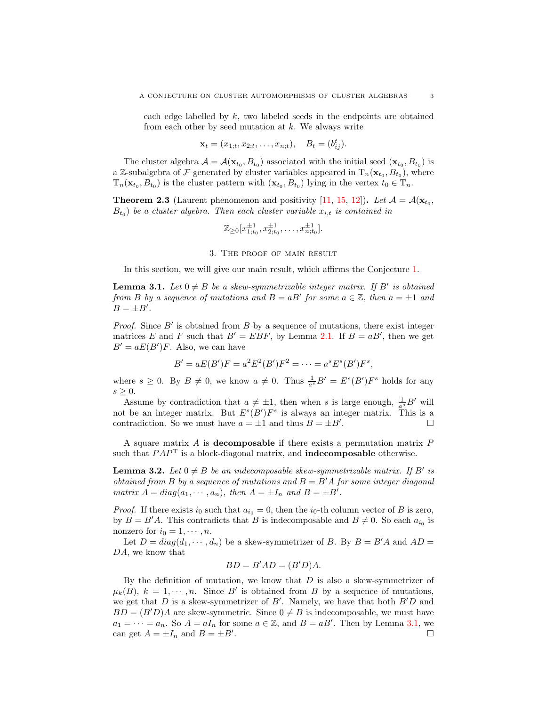each edge labelled by  $k$ , two labeled seeds in the endpoints are obtained from each other by seed mutation at  $k$ . We always write

$$
\mathbf{x}_t = (x_{1;t}, x_{2;t}, \dots, x_{n;t}), \quad B_t = (b_{ij}^t).
$$

The cluster algebra  $A = A(\mathbf{x}_{t_0}, B_{t_0})$  associated with the initial seed  $(\mathbf{x}_{t_0}, B_{t_0})$  is a Z-subalgebra of  $\mathcal F$  generated by cluster variables appeared in  $T_n(\mathbf x_{t_0}, B_{t_0})$ , where  $T_n(\mathbf{x}_{t_0}, B_{t_0})$  is the cluster pattern with  $(\mathbf{x}_{t_0}, B_{t_0})$  lying in the vertex  $t_0 \in T_n$ .

**Theorem 2.3** (Laurent phenomenon and positivity [\[11,](#page-5-3) [15,](#page-5-13) [12\]](#page-5-14)). Let  $A = A(\mathbf{x}_{t_0},$  $B_{t_0}$ ) be a cluster algebra. Then each cluster variable  $x_{i,t}$  is contained in

$$
\mathbb{Z}_{\geq 0}[x_{1;t_0}^{\pm 1}, x_{2;t_0}^{\pm 1}, \dots, x_{n;t_0}^{\pm 1}].
$$

### 3. The proof of main result

In this section, we will give our main result, which affirms the Conjecture [1.](#page-0-1)

<span id="page-2-0"></span>**Lemma 3.1.** Let  $0 \neq B$  be a skew-symmetrizable integer matrix. If B' is obtained from B by a sequence of mutations and  $B = aB'$  for some  $a \in \mathbb{Z}$ , then  $a = \pm 1$  and  $B = \pm B'$ .

*Proof.* Since  $B'$  is obtained from  $B$  by a sequence of mutations, there exist integer matrices E and F such that  $B' = EBF$ , by Lemma [2.1.](#page-1-0) If  $B = aB'$ , then we get  $B' = aE(B')F$ . Also, we can have

$$
B' = aE(B')F = a^2E^2(B')F^2 = \cdots = a^sE^s(B')F^s,
$$

where  $s \geq 0$ . By  $B \neq 0$ , we know  $a \neq 0$ . Thus  $\frac{1}{a^s}B' = E^s(B')F^s$  holds for any  $s \geq 0$ .

Assume by contradiction that  $a \neq \pm 1$ , then when s is large enough,  $\frac{1}{a^{s}}B'$  will not be an integer matrix. But  $E^s(B')F^s$  is always an integer matrix. This is a contradiction. So we must have  $a = \pm 1$  and thus  $B = \pm B'$ . .

A square matrix  $A$  is **decomposable** if there exists a permutation matrix  $P$ such that  $PAP<sup>T</sup>$  is a block-diagonal matrix, and **indecomposable** otherwise.

<span id="page-2-1"></span>**Lemma 3.2.** Let  $0 \neq B$  be an indecomposable skew-symmetrizable matrix. If B' is obtained from B by a sequence of mutations and  $B = B'A$  for some integer diagonal matrix  $A = diag(a_1, \dots, a_n)$ , then  $A = \pm I_n$  and  $B = \pm B'$ .

*Proof.* If there exists  $i_0$  such that  $a_{i_0} = 0$ , then the  $i_0$ -th column vector of B is zero, by  $B = B'A$ . This contradicts that B is indecomposable and  $B \neq 0$ . So each  $a_{i_0}$  is nonzero for  $i_0 = 1, \dots, n$ .

Let  $D = diag(d_1, \dots, d_n)$  be a skew-symmetrizer of B. By  $B = B'A$  and  $AD =$ DA, we know that

$$
BD = B'AD = (B'D)A.
$$

By the definition of mutation, we know that  $D$  is also a skew-symmetrizer of  $\mu_k(B)$ ,  $k = 1, \dots, n$ . Since B' is obtained from B by a sequence of mutations, we get that  $D$  is a skew-symmetrizer of  $B'$ . Namely, we have that both  $B'D$  and  $BD = (B'D)A$  are skew-symmetric. Since  $0 \neq B$  is indecomposable, we must have  $a_1 = \cdots = a_n$ . So  $A = aI_n$  for some  $a \in \mathbb{Z}$ , and  $B = aB'$ . Then by Lemma [3.1,](#page-2-0) we can get  $A = \pm I_n$  and  $B = \pm B'$ . . В последните при последните последните последните и се при последните последните последните последните после<br>В последните последните последните последните последните последните последните последните последните последнит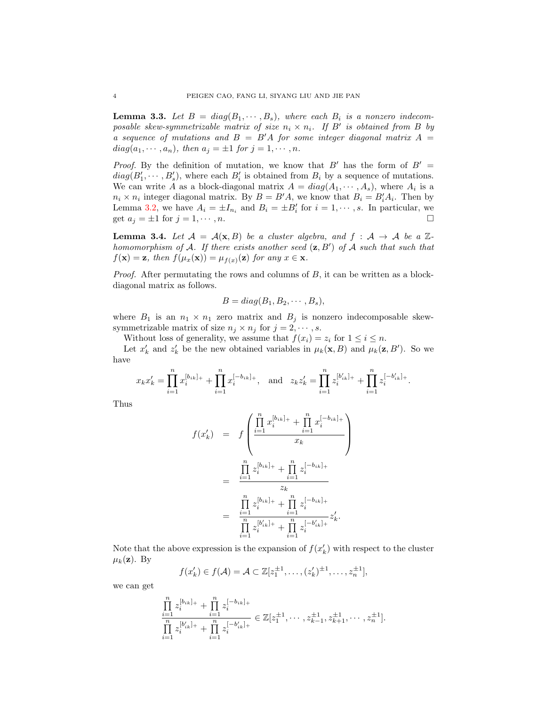<span id="page-3-0"></span>**Lemma 3.3.** Let  $B = diag(B_1, \dots, B_s)$ , where each  $B_i$  is a nonzero indecomposable skew-symmetrizable matrix of size  $n_i \times n_i$ . If B' is obtained from B by a sequence of mutations and  $B = B'A$  for some integer diagonal matrix  $A =$  $diag(a_1, \dots, a_n)$ , then  $a_j = \pm 1$  for  $j = 1, \dots, n$ .

*Proof.* By the definition of mutation, we know that B' has the form of  $B' =$  $diag(B'_1, \dots, B'_s)$ , where each  $B'_i$  is obtained from  $B_i$  by a sequence of mutations. We can write A as a block-diagonal matrix  $A = diag(A_1, \dots, A_s)$ , where  $A_i$  is a  $n_i \times n_i$  integer diagonal matrix. By  $B = B'A$ , we know that  $B_i = B'_i A_i$ . Then by Lemma [3.2,](#page-2-1) we have  $A_i = \pm I_{n_i}$  and  $B_i = \pm B'_i$  for  $i = 1, \dots, s$ . In particular, we get  $a_j = \pm 1$  for  $j = 1, \dots, n$ .

<span id="page-3-1"></span>**Lemma 3.4.** Let  $\mathcal{A} = \mathcal{A}(\mathbf{x}, B)$  be a cluster algebra, and  $f : \mathcal{A} \to \mathcal{A}$  be a  $\mathbb{Z}$ homomorphism of A. If there exists another seed  $(z, B')$  of A such that such that  $f(\mathbf{x}) = \mathbf{z}$ , then  $f(\mu_x(\mathbf{x})) = \mu_{f(x)}(\mathbf{z})$  for any  $x \in \mathbf{x}$ .

*Proof.* After permutating the rows and columns of  $B$ , it can be written as a blockdiagonal matrix as follows.

$$
B = diag(B_1, B_2, \cdots, B_s),
$$

where  $B_1$  is an  $n_1 \times n_1$  zero matrix and  $B_j$  is nonzero indecomposable skewsymmetrizable matrix of size  $n_j \times n_j$  for  $j = 2, \dots, s$ .

Without loss of generality, we assume that  $f(x_i) = z_i$  for  $1 \leq i \leq n$ .

Let  $x'_k$  and  $z'_k$  be the new obtained variables in  $\mu_k(\mathbf{x}, B)$  and  $\mu_k(\mathbf{z}, B')$ . So we have

$$
x_k x'_k = \prod_{i=1}^n x_i^{[b_{ik}]_+} + \prod_{i=1}^n x_i^{[-b_{ik}]_+}, \text{ and } z_k z'_k = \prod_{i=1}^n z_i^{[b'_{ik}]_+} + \prod_{i=1}^n z_i^{[-b'_{ik}]_+}.
$$

Thus

$$
f(x'_{k}) = f\left(\frac{\prod_{i=1}^{n} x_{i}^{[b_{ik}]_{+}} + \prod_{i=1}^{n} x_{i}^{[-b_{ik}]_{+}}}{x_{k}}\right)
$$
  

$$
= \frac{\prod_{i=1}^{n} z_{i}^{[b_{ik}]_{+}} + \prod_{i=1}^{n} z_{i}^{[-b_{ik}]_{+}}}{z_{k}}
$$
  

$$
= \frac{\prod_{i=1}^{n} z_{i}^{[b_{ik}]_{+}} + \prod_{i=1}^{n} z_{i}^{[-b_{ik}]_{+}}}{\prod_{i=1}^{n} z_{i}^{[b'_{ik}]_{+}} + \prod_{i=1}^{n} z_{i}^{[-b'_{ik}]_{+}}} z'_{k}.
$$

Note that the above expression is the expansion of  $f(x_k)$  with respect to the cluster  $\mu_k(\mathbf{z})$ . By

$$
f(x'_k) \in f(\mathcal{A}) = \mathcal{A} \subset \mathbb{Z}[z_1^{\pm 1}, \ldots, (z'_k)^{\pm 1}, \ldots, z_n^{\pm 1}],
$$

we can get

$$
\frac{\prod_{i=1}^{n} z_i^{[b_{ik}]_+} + \prod_{i=1}^{n} z_i^{[-b_{ik}]_+}}{\prod_{i=1}^{n} z_i^{[b'_{ik}]_+} + \prod_{i=1}^{n} z_i^{[-b'_{ik}]_+}} \in \mathbb{Z}[z_1^{\pm 1}, \cdots, z_{k-1}^{\pm 1}, z_{k+1}^{\pm 1}, \cdots, z_n^{\pm 1}].
$$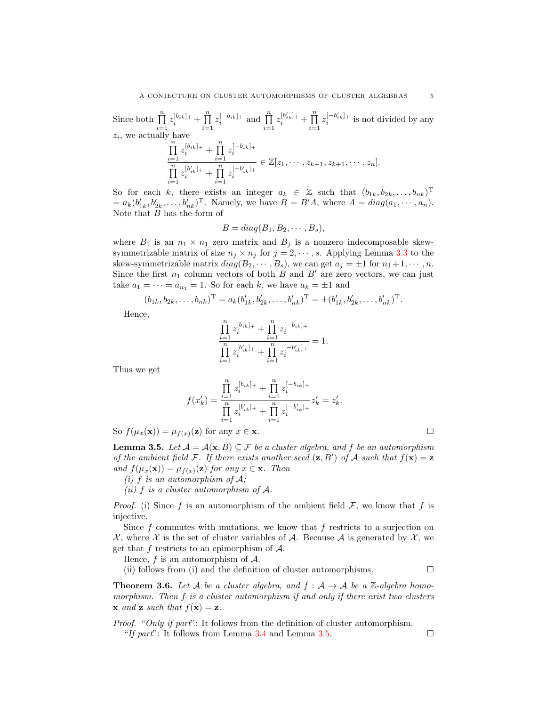Since both  $\prod_{n=1}^n$  $i=1$  $z_i^{[b_{ik}]_+} + \prod^n$  $i=1$  $z_i^{[-b_{ik}]_+}$  and  $\prod_{i=1}^n$  $i=1$  $z_i^{[b'_{ik}]_+} + \prod^n$  $i=1$  $z_i^{[-b'_{ik}]_+}$  is not divided by any  $z_i$ , we actually have

$$
\prod_{\substack{i=1 \ i=1}}^n z_i^{[b_{ik}]_+} + \prod_{i=1}^n z_i^{[-b_{ik}]_+} \newline \prod_{i=1}^n z_i^{[b'_{ik}]_+} + \prod_{i=1}^n z_i^{[-b'_{ik}]_+} \in \mathbb{Z}[z_1, \cdots, z_{k-1}, z_{k+1}, \cdots, z_n].
$$

So for each k, there exists an integer  $a_k \in \mathbb{Z}$  such that  $(b_{1k}, b_{2k}, \ldots, b_{nk})^T$  $=a_k(b'_{1k}, b'_{2k}, \ldots, b'_{nk})^{\mathrm{T}}$ . Namely, we have  $B=B'A$ , where  $A=diag(a_1, \cdots, a_n)$ . Note that  $B$  has the form of

$$
B = diag(B_1, B_2, \cdots, B_s),
$$

where  $B_1$  is an  $n_1 \times n_1$  zero matrix and  $B_j$  is a nonzero indecomposable skewsymmetrizable matrix of size  $n_j \times n_j$  for  $j = 2, \dots, s$ . Applying Lemma [3.3](#page-3-0) to the skew-symmetrizable matrix  $diag(B_2, \dots, B_s)$ , we can get  $a_j = \pm 1$  for  $n_1 + 1, \dots, n$ . Since the first  $n_1$  column vectors of both B and B' are zero vectors, we can just take  $a_1 = \cdots = a_{n_1} = 1$ . So for each k, we have  $a_k = \pm 1$  and

$$
(b_{1k}, b_{2k}, \dots, b_{nk})^{\mathrm{T}} = a_k (b'_{1k}, b'_{2k}, \dots, b'_{nk})^{\mathrm{T}} = \pm (b'_{1k}, b'_{2k}, \dots, b'_{nk})^{\mathrm{T}}.
$$

Hence,

$$
\frac{\prod_{i=1}^{n} z_i^{[b_{ik}]_+} + \prod_{i=1}^{n} z_i^{[-b_{ik}]_+}}{\prod_{i=1}^{n} z_i^{[b'_{ik}]_+} + \prod_{i=1}^{n} z_i^{[-b'_{ik}]_+}} = 1.
$$

Thus we get

$$
f(x'_k) = \frac{\prod\limits_{i=1}^{n} z_i^{[b_{ik}]_+} + \prod\limits_{i=1}^{n} z_i^{[-b_{ik}]_+}}{\prod\limits_{i=1}^{n} z_i^{[b'_{ik}]_+} + \prod\limits_{i=1}^{n} z_i^{[-b'_{ik}]_+}} z'_k = z'_k.
$$

So  $f(\mu_x(\mathbf{x})) = \mu_{f(x)}(\mathbf{z})$  for any  $x \in \mathbf{x}$ .

<span id="page-4-1"></span>**Lemma 3.5.** Let  $\mathcal{A} = \mathcal{A}(\mathbf{x}, B) \subseteq \mathcal{F}$  be a cluster algebra, and f be an automorphism of the ambient field F. If there exists another seed  $(\mathbf{z}, B')$  of A such that  $f(\mathbf{x}) = \mathbf{z}$ and  $f(\mu_x(\mathbf{x})) = \mu_{f(x)}(\mathbf{z})$  for any  $x \in \mathbf{x}$ . Then

(i) f is an automorphism of  $\mathcal{A}$ ;

(ii) f is a cluster automorphism of  $A$ .

*Proof.* (i) Since f is an automorphism of the ambient field  $\mathcal{F}$ , we know that f is injective.

Since  $f$  commutes with mutations, we know that  $f$  restricts to a surjection on  $\mathcal{X}$ , where  $\mathcal{X}$  is the set of cluster variables of  $\mathcal{A}$ . Because  $\mathcal{A}$  is generated by  $\mathcal{X}$ , we get that  $f$  restricts to an epimorphism of  $A$ .

Hence,  $f$  is an automorphism of  $A$ .

(ii) follows from (i) and the definition of cluster automorphisms.  $\Box$ 

<span id="page-4-0"></span>**Theorem 3.6.** Let A be a cluster algebra, and  $f : A \rightarrow A$  be a Z-algebra homomorphism. Then  $f$  is a cluster automorphism if and only if there exist two clusters  $\bf{x}$  and  $\bf{z}$  such that  $f(\bf{x}) = \bf{z}$ .

Proof. "Only if part": It follows from the definition of cluster automorphism.

"If part": It follows from Lemma [3.4](#page-3-1) and Lemma [3.5.](#page-4-1)